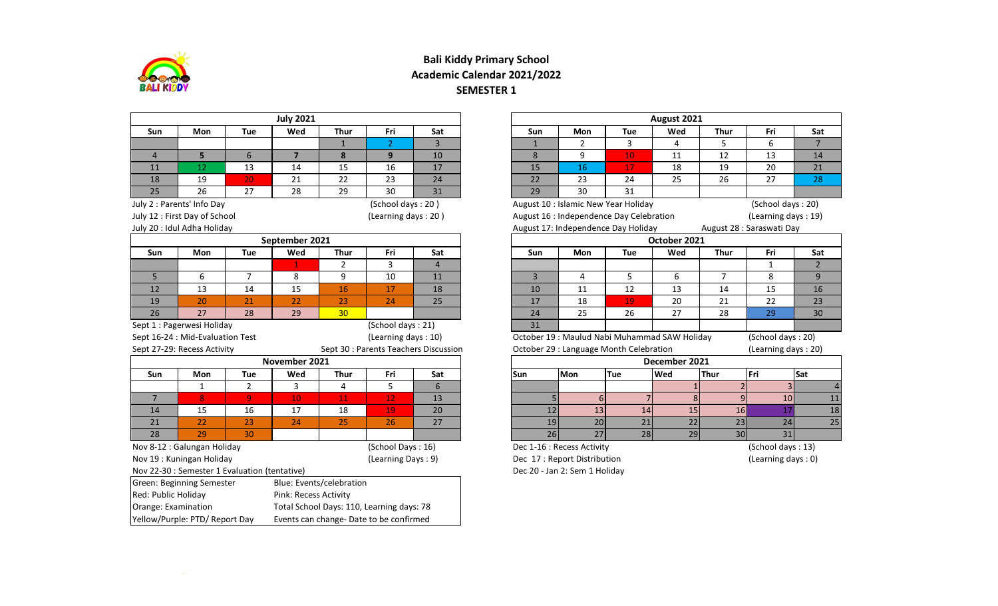

## **Bali Kiddy Primary School Academic Calendar 2021/2022 SEMESTER 1**

|                     |                                               |                | <b>July 2021</b>      |                          |                                           |                |            |                |                               |                                              | August 2021   |                 |                           |                |
|---------------------|-----------------------------------------------|----------------|-----------------------|--------------------------|-------------------------------------------|----------------|------------|----------------|-------------------------------|----------------------------------------------|---------------|-----------------|---------------------------|----------------|
| Sun                 | <b>Mon</b>                                    | Tue            | Wed                   | <b>Thur</b>              | Fri                                       | Sat            |            | Sun            | Mon                           | <b>Tue</b>                                   | Wed           | <b>Thur</b>     | Fri                       | Sat            |
|                     |                                               |                |                       | $\mathbf{1}$             | 2 <sup>1</sup>                            | 3              |            | $\mathbf{1}$   | $\overline{2}$                | 3                                            | 4             | 5               | 6                         | $\overline{7}$ |
| $\overline{4}$      | 5 <sup>1</sup>                                | 6              | $\overline{7}$        | 8                        | 9                                         | 10             |            | 8              | 9                             | 10                                           | 11            | 12              | 13                        | 14             |
| 11                  | 12                                            | 13             | 14                    | 15                       | 16                                        | 17             |            | 15             | 16                            | 17                                           | 18            | 19              | 20                        | 21             |
| 18                  | 19                                            | 20             | 21                    | 22                       | 23                                        | 24             |            | 22             | 23                            | 24                                           | 25            | 26              | 27                        | 28             |
| 25                  | 26                                            | 27             | 28                    | 29                       | 30                                        | 31             |            | 29             | 30                            | 31                                           |               |                 |                           |                |
|                     | July 2 : Parents' Info Day                    |                |                       |                          | (School days: 20)                         |                |            |                |                               | August 10 : Islamic New Year Holiday         |               |                 | (School days: 20)         |                |
|                     | July 12 : First Day of School                 |                |                       |                          | (Learning days: 20)                       |                |            |                |                               | August 16 : Independence Day Celebration     |               |                 | (Learning days: 19)       |                |
|                     | July 20 : Idul Adha Holiday                   |                |                       |                          |                                           |                |            |                |                               | August 17: Independence Day Holiday          |               |                 | August 28 : Saraswati Day |                |
|                     |                                               |                | September 2021        |                          |                                           |                |            |                |                               |                                              | October 2021  |                 |                           |                |
| Sun                 | Mon                                           | Tue            | Wed                   | Thur                     | Fri                                       | Sat            |            | Sun            | Mon                           | Tue                                          | Wed           | <b>Thur</b>     | Fri                       | Sat            |
|                     |                                               |                | $\mathbf{1}$          | $\overline{2}$           | 3                                         | $\overline{4}$ |            |                |                               |                                              |               |                 | 1                         | $\overline{2}$ |
| 5                   | 6                                             | $\overline{7}$ | 8                     | 9                        | 10                                        | 11             |            | $\overline{3}$ | 4                             | 5                                            | 6             | $\overline{7}$  | 8                         | 9              |
| 12                  | 13                                            | 14             | 15                    | 16                       | 17                                        | 18             |            | 10             | 11                            | 12                                           | 13            | 14              | 15                        | 16             |
| 19                  | 20                                            | 21             | 22                    | 23                       | 24                                        | 25             |            | 17             | 18                            | 19                                           | 20            | 21              | 22                        | 23             |
| 26                  | 27                                            | 28             | 29                    | 30                       |                                           |                |            | 24             | 25                            | 26                                           | 27            | 28              | 29                        | 30             |
|                     | Sept 1 : Pagerwesi Holiday                    |                |                       |                          | (School days: 21)                         |                |            | 31             |                               |                                              |               |                 |                           |                |
|                     | Sept 16-24 : Mid-Evaluation Test              |                |                       |                          | (Learning days: 10)                       |                |            |                |                               | October 19: Maulud Nabi Muhammad SAW Holiday |               |                 | (School days: 20)         |                |
|                     | Sept 27-29: Recess Activity                   |                |                       |                          | Sept 30 : Parents Teachers Discussion     |                |            |                |                               | October 29 : Language Month Celebration      |               |                 | (Learning days: 20)       |                |
|                     |                                               |                | November 2021         |                          |                                           |                |            |                |                               |                                              | December 2021 |                 |                           |                |
| Sun                 | <b>Mon</b>                                    | Tue            | Wed                   | <b>Thur</b>              | Fri                                       | Sat            | <b>Sun</b> |                | <b>Mon</b>                    | Tue                                          | Wed           | Thur            | Fri                       | Sat            |
|                     | $\mathbf{1}$                                  | $\overline{2}$ | 3                     | 4                        | 5                                         | 6              |            |                |                               |                                              |               |                 |                           |                |
| $\overline{7}$      | 8                                             | $\overline{9}$ | 10                    | 11                       | 12                                        | 13             |            |                | $6 \mid$                      |                                              |               | $\overline{9}$  | 10                        | 11             |
| 14                  | 15                                            | 16             | 17                    | 18                       | 19                                        | 20             |            | 12             | 13                            | 14                                           | 15            | 16              | 17                        | 18             |
| 21                  | 22                                            | 23             | 24                    | 25                       | 26                                        | 27             |            | 19             | 20                            | 21                                           | 22            | 23              | 24                        | 25             |
| 28                  | 29                                            | 30             |                       |                          |                                           |                |            | 26             | $\overline{27}$               | 28                                           | 29            | 30 <sub>1</sub> | $\overline{31}$           |                |
|                     | Nov 8-12 : Galungan Holiday                   |                |                       |                          | (School Days: 16)                         |                |            |                | Dec 1-16 : Recess Activity    |                                              |               |                 | (School days: 13)         |                |
|                     | Nov 19: Kuningan Holiday                      |                |                       |                          | (Learning Days: 9)                        |                |            |                | Dec 17 : Report Distribution  |                                              |               |                 | (Learning days: 0)        |                |
|                     | Nov 22-30 : Semester 1 Evaluation (tentative) |                |                       |                          |                                           |                |            |                | Dec 20 - Jan 2: Sem 1 Holiday |                                              |               |                 |                           |                |
|                     | Green: Beginning Semester                     |                |                       | Blue: Events/celebration |                                           |                |            |                |                               |                                              |               |                 |                           |                |
| Red: Public Holiday |                                               |                | Pink: Recess Activity |                          |                                           |                |            |                |                               |                                              |               |                 |                           |                |
| Orange: Examination |                                               |                |                       |                          | Total School Days: 110, Learning days: 78 |                |            |                |                               |                                              |               |                 |                           |                |
|                     | Yellow/Purple: PTD/ Report Day                |                |                       |                          | Events can change- Date to be confirmed   |                |            |                |                               |                                              |               |                 |                           |                |